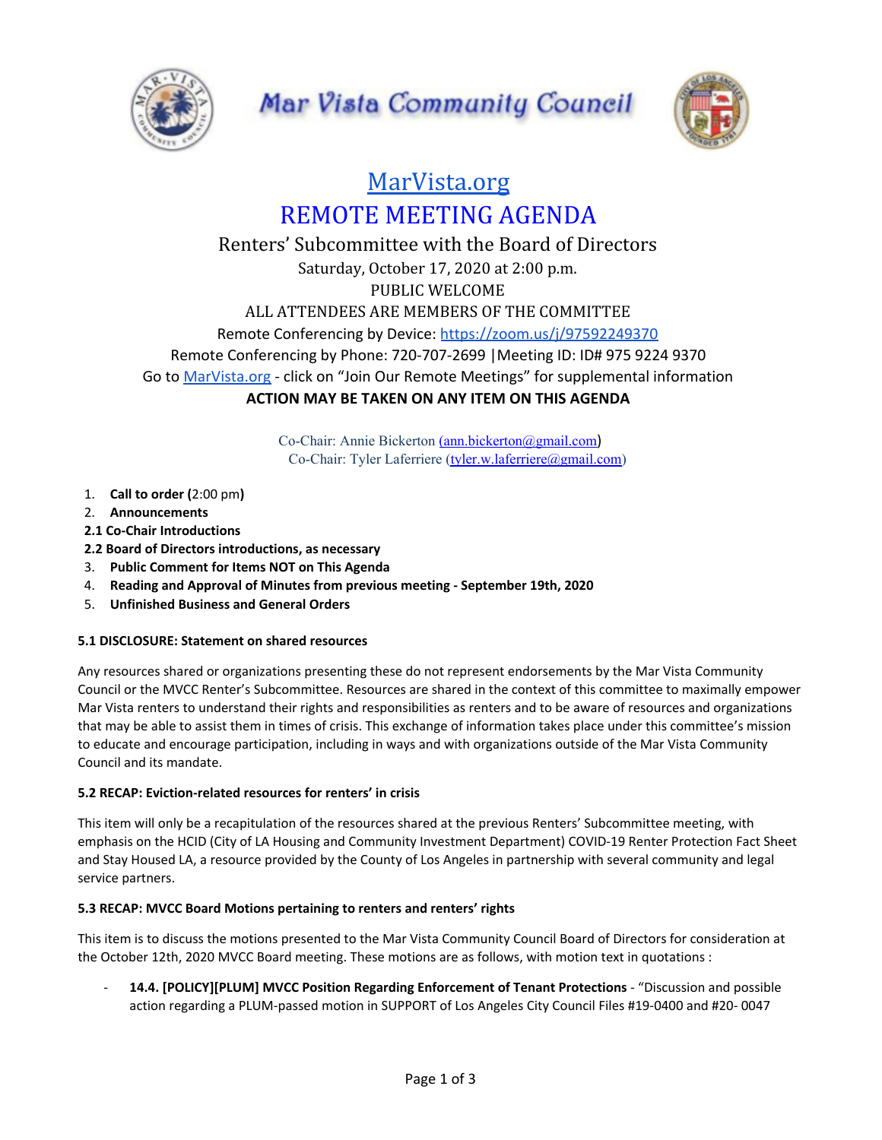



# [MarVista.org](https://www.marvista.org/) REMOTE MEETING AGENDA

# Renters' Subcommittee with the Board of Directors Saturday, October 17, 2020 at 2:00 p.m. PUBLIC WELCOME ALL ATTENDEES ARE MEMBERS OF THE COMMITTEE Remote Conferencing by Device: <https://zoom.us/j/97592249370> Remote Conferencing by Phone: 720-707-2699 |Meeting ID: ID# 975 9224 9370 Go to [MarVista.org](https://www.marvista.org/) - click on "Join Our Remote Meetings" for supplemental information **ACTION MAY BE TAKEN ON ANY ITEM ON THIS AGENDA**

Co-Chair: Annie Bickerton [\(ann.bickerton@gmail.com](mailto:ann.bickerton@gmail.com)) Co-Chair: Tyler Laferriere ([tyler.w.laferriere@gmail.com\)](mailto:tyler.w.laferriere@gmail.com)

- 1. **Call to order (**2:00 pm**)**
- 2. **Announcements**
- **2.1 Co-Chair Introductions**
- **2.2 Board of Directors introductions, as necessary**
- 3. **Public Comment for Items NOT on This Agenda**
- 4. **Reading and Approval of Minutes from previous meeting - September 19th, 2020**
- 5. **Unfinished Business and General Orders**

# **5.1 DISCLOSURE: Statement on shared resources**

Any resources shared or organizations presenting these do not represent endorsements by the Mar Vista Community Council or the MVCC Renter's Subcommittee. Resources are shared in the context of this committee to maximally empower Mar Vista renters to understand their rights and responsibilities as renters and to be aware of resources and organizations that may be able to assist them in times of crisis. This exchange of information takes place under this committee's mission to educate and encourage participation, including in ways and with organizations outside of the Mar Vista Community Council and its mandate.

# **5.2 RECAP: Eviction-related resources for renters' in crisis**

This item will only be a recapitulation of the resources shared at the previous Renters' Subcommittee meeting, with emphasis on the HCID (City of LA Housing and Community Investment Department) COVID-19 Renter Protection Fact Sheet and Stay Housed LA, a resource provided by the County of Los Angeles in partnership with several community and legal service partners.

# **5.3 RECAP: MVCC Board Motions pertaining to renters and renters' rights**

This item is to discuss the motions presented to the Mar Vista Community Council Board of Directors for consideration at the October 12th, 2020 MVCC Board meeting. These motions are as follows, with motion text in quotations :

- **14.4. [POLICY][PLUM] MVCC Position Regarding Enforcement of Tenant Protections** - "Discussion and possible action regarding a PLUM-passed motion in SUPPORT of Los Angeles City Council Files #19-0400 and #20- 0047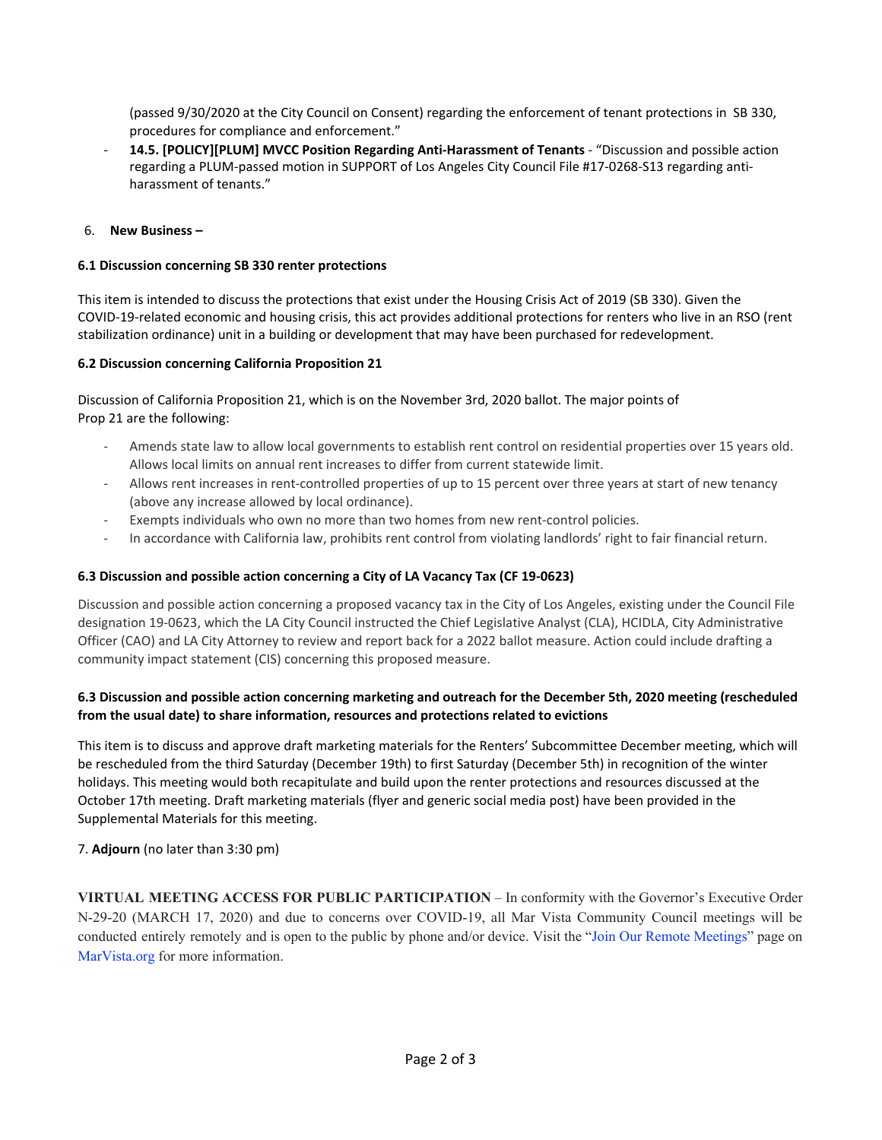(passed 9/30/2020 at the City Council on Consent) regarding the enforcement of tenant protections in SB 330, procedures for compliance and enforcement."

- **14.5. [POLICY][PLUM] MVCC Position Regarding Anti-Harassment of Tenants** - "Discussion and possible action regarding a PLUM-passed motion in SUPPORT of Los Angeles City Council File #17-0268-S13 regarding antiharassment of tenants."

#### 6. **New Business –**

#### **6.1 Discussion concerning SB 330 renter protections**

This item is intended to discuss the protections that exist under the Housing Crisis Act of 2019 (SB 330). Given the COVID-19-related economic and housing crisis, this act provides additional protections for renters who live in an RSO (rent stabilization ordinance) unit in a building or development that may have been purchased for redevelopment.

#### **6.2 Discussion concerning California Proposition 21**

Discussion of California Proposition 21, which is on the November 3rd, 2020 ballot. The major points of Prop 21 are the following:

- Amends state law to allow local governments to establish rent control on residential properties over 15 years old. Allows local limits on annual rent increases to differ from current statewide limit.
- Allows rent increases in rent-controlled properties of up to 15 percent over three years at start of new tenancy (above any increase allowed by local ordinance).
- Exempts individuals who own no more than two homes from new rent-control policies.
- In accordance with California law, prohibits rent control from violating landlords' right to fair financial return.

### **6.3 Discussion and possible action concerning a City of LA Vacancy Tax (CF 19-0623)**

Discussion and possible action concerning a proposed vacancy tax in the City of Los Angeles, existing under the Council File designation 19-0623, which the LA City Council instructed the Chief Legislative Analyst (CLA), HCIDLA, City Administrative Officer (CAO) and LA City Attorney to review and report back for a 2022 ballot measure. Action could include drafting a community impact statement (CIS) concerning this proposed measure.

#### 6.3 Discussion and possible action concerning marketing and outreach for the December 5th, 2020 meeting (rescheduled **from the usual date) to share information, resources and protections related to evictions**

This item is to discuss and approve draft marketing materials for the Renters' Subcommittee December meeting, which will be rescheduled from the third Saturday (December 19th) to first Saturday (December 5th) in recognition of the winter holidays. This meeting would both recapitulate and build upon the renter protections and resources discussed at the October 17th meeting. Draft marketing materials (flyer and generic social media post) have been provided in the Supplemental Materials for this meeting.

#### 7. **Adjourn** (no later than 3:30 pm)

**VIRTUAL MEETING ACCESS FOR PUBLIC PARTICIPATION** – In conformity with the Governor's Executive Order N-29-20 (MARCH 17, 2020) and due to concerns over COVID-19, all Mar Vista Community Council meetings will be conducted entirely remotely and is open to the public by phone and/or device. Visit the "Join Our Remote Meetings" page on MarVista.org for more information.